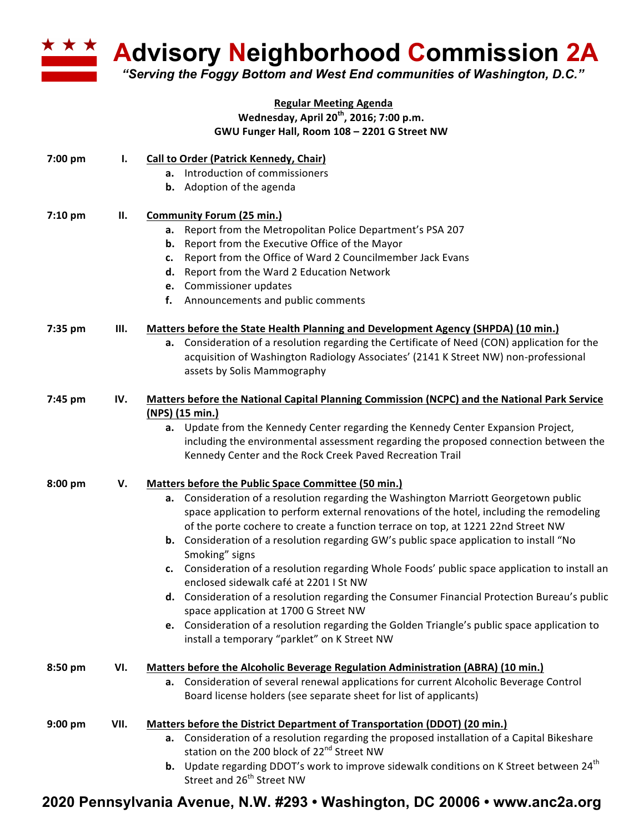

**Advisory Neighborhood Commission 2A** 

*"Serving the Foggy Bottom and West End communities of Washington, D.C."*

## **Regular Meeting Agenda** Wednesday, April 20<sup>th</sup>, 2016; 7:00 p.m. **GWU Funger Hall, Room 108 – 2201 G Street NW**

| 7:00 pm   | Ι.   | Call to Order (Patrick Kennedy, Chair)<br>Introduction of commissioners<br>а.<br><b>b.</b> Adoption of the agenda                                                                                                                                                                                                                                                                                                                                                                                                                                                                                                                                                                                                                                                                                                                                                                             |
|-----------|------|-----------------------------------------------------------------------------------------------------------------------------------------------------------------------------------------------------------------------------------------------------------------------------------------------------------------------------------------------------------------------------------------------------------------------------------------------------------------------------------------------------------------------------------------------------------------------------------------------------------------------------------------------------------------------------------------------------------------------------------------------------------------------------------------------------------------------------------------------------------------------------------------------|
| 7:10 pm   | П.   | <b>Community Forum (25 min.)</b><br>Report from the Metropolitan Police Department's PSA 207<br>а.<br>Report from the Executive Office of the Mayor<br>b.<br>Report from the Office of Ward 2 Councilmember Jack Evans<br>c.<br>Report from the Ward 2 Education Network<br>d.<br>Commissioner updates<br>e.<br>f.<br>Announcements and public comments                                                                                                                                                                                                                                                                                                                                                                                                                                                                                                                                       |
| 7:35 pm   | Ш.   | Matters before the State Health Planning and Development Agency (SHPDA) (10 min.)<br>Consideration of a resolution regarding the Certificate of Need (CON) application for the<br>а.<br>acquisition of Washington Radiology Associates' (2141 K Street NW) non-professional<br>assets by Solis Mammography                                                                                                                                                                                                                                                                                                                                                                                                                                                                                                                                                                                    |
| 7:45 pm   | IV.  | Matters before the National Capital Planning Commission (NCPC) and the National Park Service<br>(NPS) (15 min.)<br>Update from the Kennedy Center regarding the Kennedy Center Expansion Project,<br>а.<br>including the environmental assessment regarding the proposed connection between the<br>Kennedy Center and the Rock Creek Paved Recreation Trail                                                                                                                                                                                                                                                                                                                                                                                                                                                                                                                                   |
| 8:00 pm   | v.   | Matters before the Public Space Committee (50 min.)<br>Consideration of a resolution regarding the Washington Marriott Georgetown public<br>а.<br>space application to perform external renovations of the hotel, including the remodeling<br>of the porte cochere to create a function terrace on top, at 1221 22nd Street NW<br><b>b.</b> Consideration of a resolution regarding GW's public space application to install "No<br>Smoking" signs<br>Consideration of a resolution regarding Whole Foods' public space application to install an<br>c.<br>enclosed sidewalk café at 2201   St NW<br>Consideration of a resolution regarding the Consumer Financial Protection Bureau's public<br>d.<br>space application at 1700 G Street NW<br>e. Consideration of a resolution regarding the Golden Triangle's public space application to<br>install a temporary "parklet" on K Street NW |
| 8:50 pm   | VI.  | Matters before the Alcoholic Beverage Regulation Administration (ABRA) (10 min.)<br>a. Consideration of several renewal applications for current Alcoholic Beverage Control<br>Board license holders (see separate sheet for list of applicants)                                                                                                                                                                                                                                                                                                                                                                                                                                                                                                                                                                                                                                              |
| $9:00$ pm | VII. | Matters before the District Department of Transportation (DDOT) (20 min.)<br>a. Consideration of a resolution regarding the proposed installation of a Capital Bikeshare<br>station on the 200 block of 22 <sup>nd</sup> Street NW<br>Update regarding DDOT's work to improve sidewalk conditions on K Street between 24 <sup>th</sup><br>b.<br>Street and 26 <sup>th</sup> Street NW                                                                                                                                                                                                                                                                                                                                                                                                                                                                                                         |

## **2020 Pennsylvania Avenue, N.W. #293 • Washington, DC 20006 • www.anc2a.org**